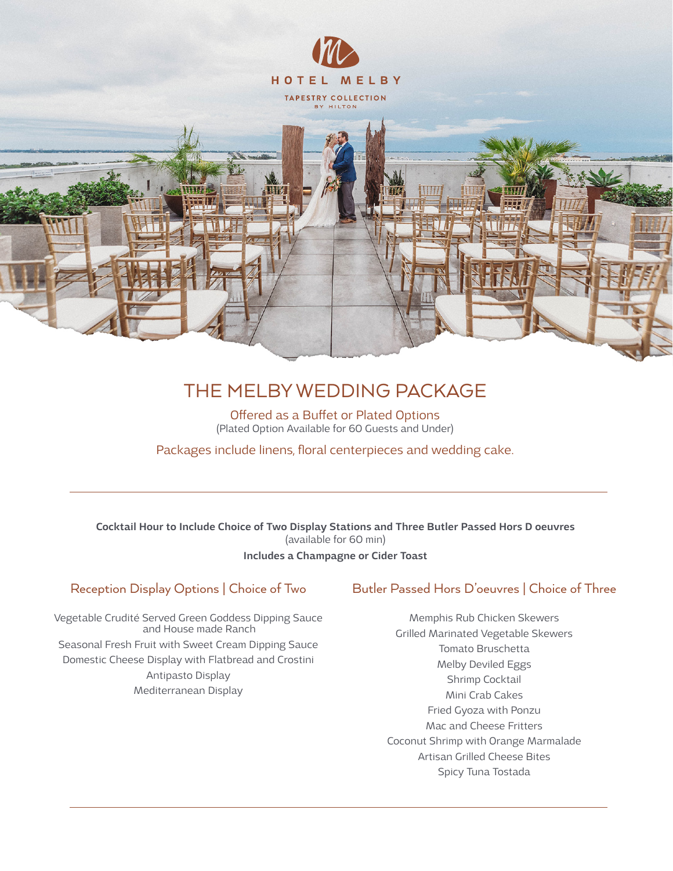

# THE MELBY WEDDING PACKAGE

Offered as a Buffet or Plated Options (Plated Option Available for 60 Guests and Under)

Packages include linens, floral centerpieces and wedding cake.

Cocktail Hour to Include Choice of Two Display Stations and Three Butler Passed Hors D oeuvres (available for 60 min) Includes a Champagne or Cider Toast

## Reception Display Options | Choice of Two

Vegetable Crudité Served Green Goddess Dipping Sauce and House made Ranch Seasonal Fresh Fruit with Sweet Cream Dipping Sauce Domestic Cheese Display with Flatbread and Crostini Antipasto Display Mediterranean Display

### Butler Passed Hors D'oeuvres | Choice of Three

Memphis Rub Chicken Skewers Grilled Marinated Vegetable Skewers Tomato Bruschetta Melby Deviled Eggs Shrimp Cocktail Mini Crab Cakes Fried Gyoza with Ponzu Mac and Cheese Fritters Coconut Shrimp with Orange Marmalade Artisan Grilled Cheese Bites Spicy Tuna Tostada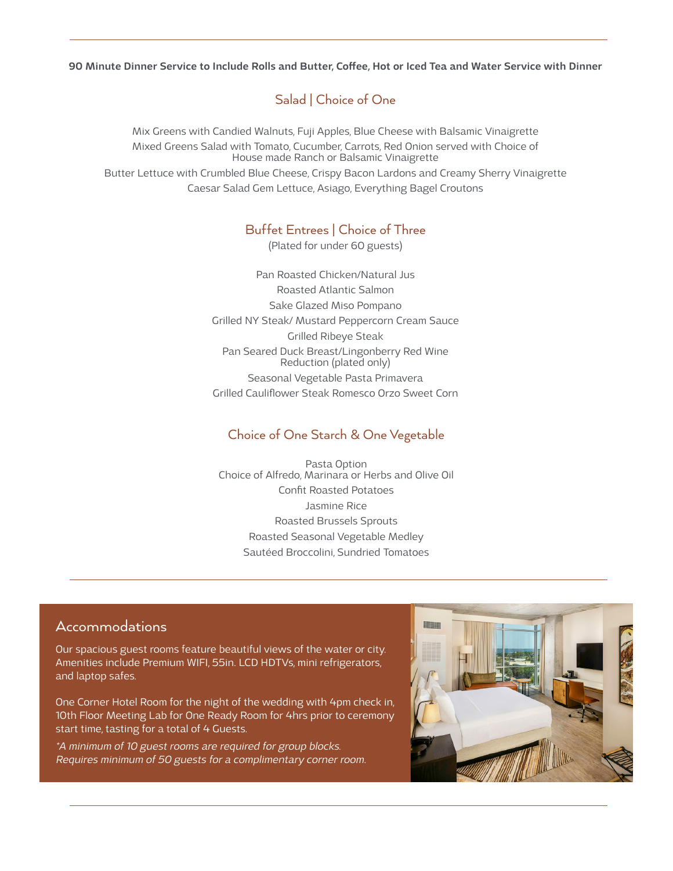90 Minute Dinner Service to Include Rolls and Butter, Coffee, Hot or Iced Tea and Water Service with Dinner

# Salad | Choice of One

Mix Greens with Candied Walnuts, Fuji Apples, Blue Cheese with Balsamic Vinaigrette Mixed Greens Salad with Tomato, Cucumber, Carrots, Red Onion served with Choice of House made Ranch or Balsamic Vinaigrette Butter Lettuce with Crumbled Blue Cheese, Crispy Bacon Lardons and Creamy Sherry Vinaigrette Caesar Salad Gem Lettuce, Asiago, Everything Bagel Croutons

# Buffet Entrees | Choice of Three

(Plated for under 60 guests)

Pan Roasted Chicken/Natural Jus Roasted Atlantic Salmon Sake Glazed Miso Pompano Grilled NY Steak/ Mustard Peppercorn Cream Sauce Grilled Ribeye Steak Pan Seared Duck Breast/Lingonberry Red Wine Reduction (plated only) Seasonal Vegetable Pasta Primavera Grilled Cauliflower Steak Romesco Orzo Sweet Corn

# Choice of One Starch & One Vegetable

Pasta Option Choice of Alfredo, Marinara or Herbs and Olive Oil Confit Roasted Potatoes Jasmine Rice Roasted Brussels Sprouts Roasted Seasonal Vegetable Medley Sautéed Broccolini, Sundried Tomatoes

# Accommodations

Our spacious guest rooms feature beautiful views of the water or city. Amenities include Premium WIFI, 55in. LCD HDTVs, mini refrigerators, and laptop safes.

One Corner Hotel Room for the night of the wedding with 4pm check in, 10th Floor Meeting Lab for One Ready Room for 4hrs prior to ceremony start time, tasting for a total of 4 Guests.

\*A minimum of 10 guest rooms are required for group blocks. Requires minimum of 50 guests for a complimentary corner room.